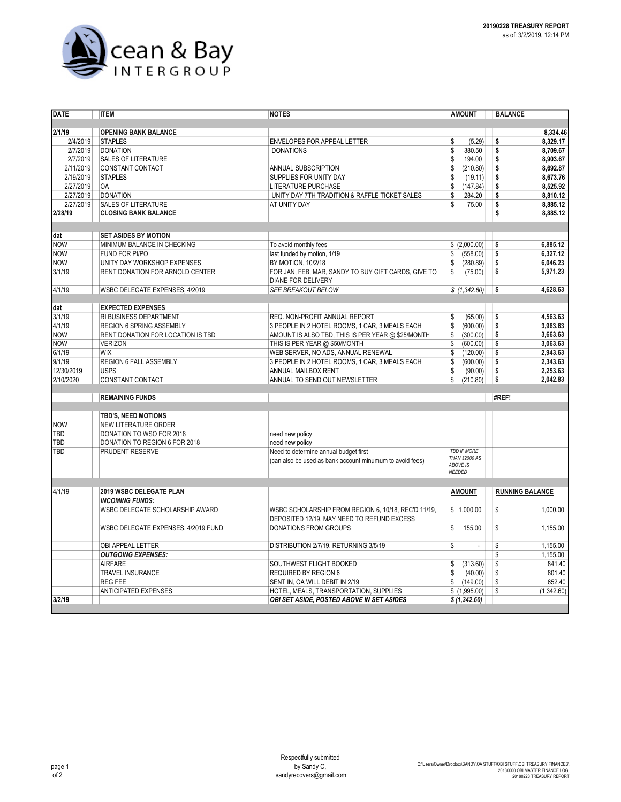

| <b>DATE</b> | <b>ITEM</b>                         | <b>NOTES</b>                                             | <b>AMOUNT</b>                        | <b>BALANCE</b>         |
|-------------|-------------------------------------|----------------------------------------------------------|--------------------------------------|------------------------|
|             |                                     |                                                          |                                      |                        |
| 2/1/19      | <b>OPENING BANK BALANCE</b>         |                                                          |                                      | 8,334.46               |
| 2/4/2019    | <b>STAPLES</b>                      | ENVELOPES FOR APPEAL LETTER                              | \$<br>(5.29)                         | 8,329.17<br>\$         |
| 2/7/2019    | <b>DONATION</b>                     | <b>DONATIONS</b>                                         | \$<br>380.50                         | 8.709.67<br>\$         |
| 2/7/2019    | <b>SALES OF LITERATURE</b>          |                                                          | \$<br>194.00                         | \$<br>8.903.67         |
| 2/11/2019   | CONSTANT CONTACT                    | ANNUAL SUBSCRIPTION                                      | \$<br>(210.80)                       | \$<br>8,692.87         |
| 2/19/2019   | <b>STAPLES</b>                      | SUPPLIES FOR UNITY DAY                                   | \$<br>(19.11)                        | \$<br>8,673.76         |
| 2/27/2019   | <b>OA</b>                           | LITERATURE PURCHASE                                      | \$<br>(147.84)                       | \$<br>8,525.92         |
| 2/27/2019   | <b>DONATION</b>                     | UNITY DAY 7TH TRADITION & RAFFLE TICKET SALES            | \$<br>284.20                         | \$<br>8,810.12         |
| 2/27/2019   | <b>SALES OF LITERATURE</b>          | AT UNITY DAY                                             | \$<br>75.00                          | \$<br>8,885.12         |
| 2/28/19     | <b>CLOSING BANK BALANCE</b>         |                                                          |                                      | \$<br>8,885.12         |
| dat         | <b>SET ASIDES BY MOTION</b>         |                                                          |                                      |                        |
| <b>NOW</b>  | MINIMUM BALANCE IN CHECKING         | To avoid monthly fees                                    | \$(2.000.00)                         | 6.885.12<br>\$         |
| <b>NOW</b>  | FUND FOR PI/PO                      | last funded by motion, 1/19                              | \$<br>(558.00)                       | \$<br>6,327.12         |
| <b>NOW</b>  | UNITY DAY WORKSHOP EXPENSES         | BY MOTION, 10/2/18                                       | (280.89)<br>\$                       | \$<br>6.046.23         |
| 3/1/19      | RENT DONATION FOR ARNOLD CENTER     | FOR JAN, FEB, MAR, SANDY TO BUY GIFT CARDS, GIVE TO      | \$<br>(75.00)                        | \$<br>5,971.23         |
|             |                                     | DIANE FOR DELIVERY                                       |                                      |                        |
| 4/1/19      | WSBC DELEGATE EXPENSES, 4/2019      | SEE BREAKOUT BELOW                                       | \$(1,342.60)                         | \$<br>4,628.63         |
| dat         | <b>EXPECTED EXPENSES</b>            |                                                          |                                      |                        |
| 3/1/19      | RI BUSINESS DEPARTMENT              | REQ. NON-PROFIT ANNUAL REPORT                            | (65.00)<br>\$                        | 4,563.63<br>\$         |
| 4/1/19      | <b>REGION 6 SPRING ASSEMBLY</b>     | 3 PEOPLE IN 2 HOTEL ROOMS, 1 CAR, 3 MEALS EACH           | \$<br>(600.00)                       | \$<br>3,963.63         |
| <b>NOW</b>  | RENT DONATION FOR LOCATION IS TBD   | AMOUNT IS ALSO TBD, THIS IS PER YEAR @ \$25/MONTH        | \$<br>(300.00)                       | 3,663.63<br>\$         |
| <b>NOW</b>  | <b>VERIZON</b>                      | THIS IS PER YEAR @ \$50/MONTH                            | \$<br>(600.00)                       | \$<br>3.063.63         |
| 6/1/19      | <b>WIX</b>                          | WEB SERVER, NO ADS, ANNUAL RENEWAL                       | \$<br>(120.00)                       | \$<br>2,943.63         |
| 9/1/19      | REGION 6 FALL ASSEMBLY              | 3 PEOPLE IN 2 HOTEL ROOMS, 1 CAR, 3 MEALS EACH           | \$<br>(600.00)                       | 2,343.63<br>\$         |
| 12/30/2019  | <b>USPS</b>                         | ANNUAL MAILBOX RENT                                      | \$<br>(90.00)                        | \$<br>2,253.63         |
| 2/10/2020   | CONSTANT CONTACT                    | ANNUAL TO SEND OUT NEWSLETTER                            | \$<br>(210.80)                       | \$<br>2,042.83         |
|             | <b>REMAINING FUNDS</b>              |                                                          |                                      | #REF!                  |
|             |                                     |                                                          |                                      |                        |
|             | TBD'S, NEED MOTIONS                 |                                                          |                                      |                        |
| <b>NOW</b>  | <b>NEW LITERATURE ORDER</b>         |                                                          |                                      |                        |
| TBD         | DONATION TO WSO FOR 2018            | need new policy                                          |                                      |                        |
| TBD         | DONATION TO REGION 6 FOR 2018       | need new policy                                          |                                      |                        |
| TBD         | PRUDENT RESERVE                     | Need to determine annual budget first                    | <b>TBD IF MORE</b><br>THAN \$2000 AS |                        |
|             |                                     | (can also be used as bank account minumum to avoid fees) | ABOVE IS<br><b>NEEDED</b>            |                        |
| 4/1/19      | 2019 WSBC DELEGATE PLAN             |                                                          | <b>AMOUNT</b>                        | <b>RUNNING BALANCE</b> |
|             | <b>INCOMING FUNDS:</b>              |                                                          |                                      |                        |
|             | WSBC DELEGATE SCHOLARSHIP AWARD     | WSBC SCHOLARSHIP FROM REGION 6, 10/18, REC'D 11/19,      | \$1,000.00                           | \$<br>1,000.00         |
|             |                                     | DEPOSITED 12/19. MAY NEED TO REFUND EXCESS               |                                      |                        |
|             | WSBC DELEGATE EXPENSES, 4/2019 FUND | <b>DONATIONS FROM GROUPS</b>                             | \$<br>155.00                         | \$<br>1.155.00         |
|             | <b>OBI APPEAL LETTER</b>            | DISTRIBUTION 2/7/19, RETURNING 3/5/19                    | \$                                   | 1,155.00<br>\$         |
|             | <b>OUTGOING EXPENSES:</b>           |                                                          |                                      | 1,155.00<br>\$         |
|             | <b>AIRFARE</b>                      | SOUTHWEST FLIGHT BOOKED                                  | \$<br>(313.60)                       | \$<br>841.40           |
|             | TRAVEL INSURANCE                    | REQUIRED BY REGION 6                                     | \$<br>(40.00)                        | 801.40<br>\$           |
|             | <b>REG FEE</b>                      | SENT IN, OA WILL DEBIT IN 2/19                           | \$<br>(149.00)                       | \$<br>652.40           |
|             | <b>ANTICIPATED EXPENSES</b>         | HOTEL, MEALS, TRANSPORTATION, SUPPLIES                   | \$(1,995.00)                         | \$<br>(1,342.60)       |
| 3/2/19      |                                     | <b>OBI SET ASIDE, POSTED ABOVE IN SET ASIDES</b>         | \$ (1,342.60)                        |                        |